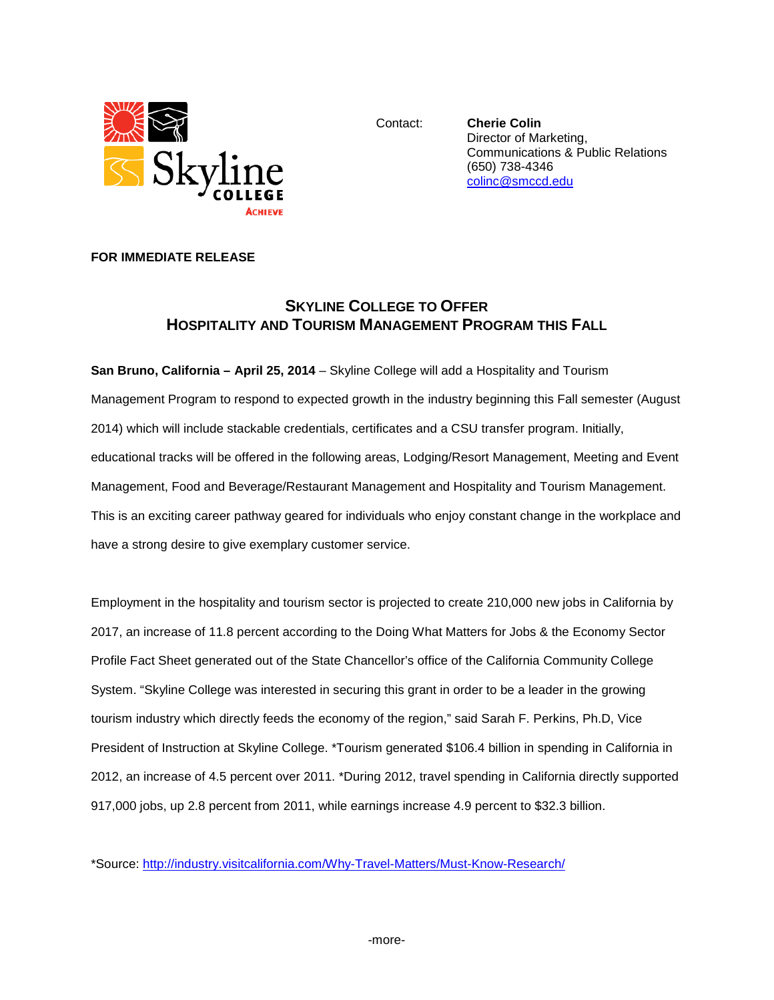

Contact: **Cherie Colin** Director of Marketing, Communications & Public Relations (650) 738-4346 [colinc@smccd.edu](mailto:colinc@smccd.edu)

## **FOR IMMEDIATE RELEASE**

## **SKYLINE COLLEGE TO OFFER HOSPITALITY AND TOURISM MANAGEMENT PROGRAM THIS FALL**

**San Bruno, California – April 25, 2014** – Skyline College will add a Hospitality and Tourism Management Program to respond to expected growth in the industry beginning this Fall semester (August 2014) which will include stackable credentials, certificates and a CSU transfer program. Initially, educational tracks will be offered in the following areas, Lodging/Resort Management, Meeting and Event Management, Food and Beverage/Restaurant Management and Hospitality and Tourism Management. This is an exciting career pathway geared for individuals who enjoy constant change in the workplace and have a strong desire to give exemplary customer service.

Employment in the hospitality and tourism sector is projected to create 210,000 new jobs in California by 2017, an increase of 11.8 percent according to the Doing What Matters for Jobs & the Economy Sector Profile Fact Sheet generated out of the State Chancellor's office of the California Community College System. "Skyline College was interested in securing this grant in order to be a leader in the growing tourism industry which directly feeds the economy of the region," said Sarah F. Perkins, Ph.D, Vice President of Instruction at Skyline College. \*Tourism generated \$106.4 billion in spending in California in 2012, an increase of 4.5 percent over 2011. \*During 2012, travel spending in California directly supported 917,000 jobs, up 2.8 percent from 2011, while earnings increase 4.9 percent to \$32.3 billion.

\*Source:<http://industry.visitcalifornia.com/Why-Travel-Matters/Must-Know-Research/>